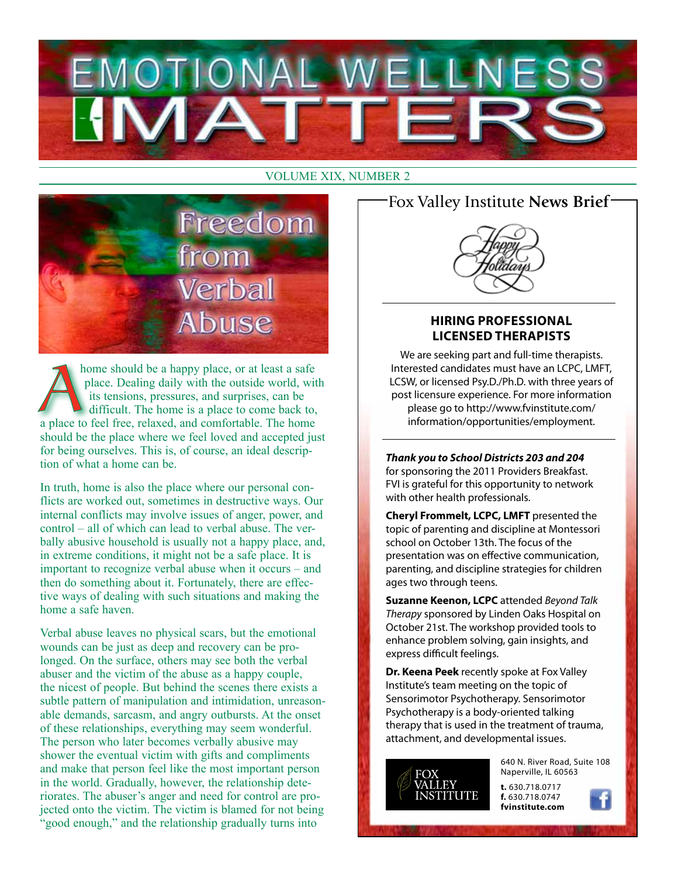

#### VOLUME XIX, NUMBER 2



home should be a happy place, or at least a safe place. Dealing daily with the outside world, with its tensions, pressures, and surprises, can be difficult. The home is a place to come back to, a place to feel free, relaxed, and comfortable. The home should be the place where we feel loved and accepted just for being ourselves. This is, of course, an ideal description of what a home can be.

In truth, home is also the place where our personal conflicts are worked out, sometimes in destructive ways. Our internal conflicts may involve issues of anger, power, and control – all of which can lead to verbal abuse. The verbally abusive household is usually not a happy place, and, in extreme conditions, it might not be a safe place. It is important to recognize verbal abuse when it occurs – and then do something about it. Fortunately, there are effective ways of dealing with such situations and making the home a safe haven.

Verbal abuse leaves no physical scars, but the emotional wounds can be just as deep and recovery can be prolonged. On the surface, others may see both the verbal abuser and the victim of the abuse as a happy couple, the nicest of people. But behind the scenes there exists a subtle pattern of manipulation and intimidation, unreasonable demands, sarcasm, and angry outbursts. At the onset of these relationships, everything may seem wonderful. The person who later becomes verbally abusive may shower the eventual victim with gifts and compliments and make that person feel like the most important person in the world. Gradually, however, the relationship deteriorates. The abuser's anger and need for control are projected onto the victim. The victim is blamed for not being "good enough," and the relationship gradually turns into

# Fox Valley Institute **News Brief**



#### **Hiring Professional Licensed Therapists**

We are seeking part and full-time therapists. Interested candidates must have an LCPC, LMFT, LCSW, or licensed Psy.D./Ph.D. with three years of post licensure experience. For more information please go to http://www.fvinstitute.com/ information/opportunities/employment.

*Thank you to School Districts 203 and 204* for sponsoring the 2011 Providers Breakfast. FVI is grateful for this opportunity to network with other health professionals.

**Cheryl Frommelt, LCPC, LMFT** presented the topic of parenting and discipline at Montessori school on October 13th. The focus of the presentation was on effective communication, parenting, and discipline strategies for children ages two through teens.

**Suzanne Keenon, LCPC** attended *Beyond Talk Therapy* sponsored by Linden Oaks Hospital on October 21st. The workshop provided tools to enhance problem solving, gain insights, and express difficult feelings.

**Dr. Keena Peek** recently spoke at Fox Valley Institute's team meeting on the topic of Sensorimotor Psychotherapy. Sensorimotor Psychotherapy is a body-oriented talking therapy that is used in the treatment of trauma, attachment, and developmental issues.



640 N. River Road, Suite 108 Naperville, IL 60563

**t.** 630.718.0717 **f.** 630.718.0747 **fvinstitute.com**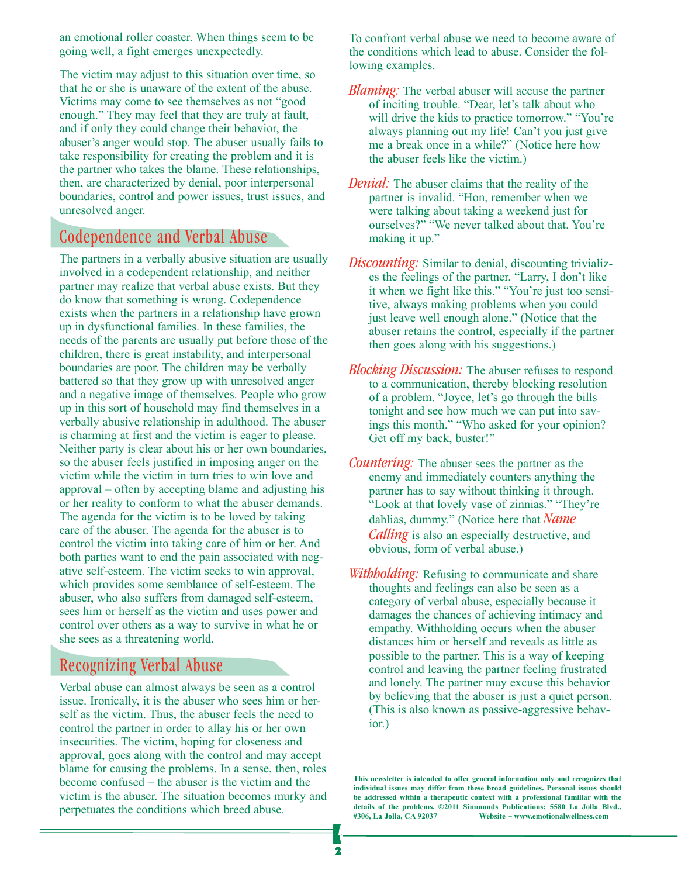an emotional roller coaster. When things seem to be going well, a fight emerges unexpectedly.

The victim may adjust to this situation over time, so that he or she is unaware of the extent of the abuse. Victims may come to see themselves as not "good enough." They may feel that they are truly at fault, and if only they could change their behavior, the abuser's anger would stop. The abuser usually fails to take responsibility for creating the problem and it is the partner who takes the blame. These relationships, then, are characterized by denial, poor interpersonal boundaries, control and power issues, trust issues, and unresolved anger.

## Codependence and Verbal Abuse

The partners in a verbally abusive situation are usually involved in a codependent relationship, and neither partner may realize that verbal abuse exists. But they do know that something is wrong. Codependence exists when the partners in a relationship have grown up in dysfunctional families. In these families, the needs of the parents are usually put before those of the children, there is great instability, and interpersonal boundaries are poor. The children may be verbally battered so that they grow up with unresolved anger and a negative image of themselves. People who grow up in this sort of household may find themselves in a verbally abusive relationship in adulthood. The abuser is charming at first and the victim is eager to please. Neither party is clear about his or her own boundaries, so the abuser feels justified in imposing anger on the victim while the victim in turn tries to win love and approval – often by accepting blame and adjusting his or her reality to conform to what the abuser demands. The agenda for the victim is to be loved by taking care of the abuser. The agenda for the abuser is to control the victim into taking care of him or her. And both parties want to end the pain associated with negative self-esteem. The victim seeks to win approval, which provides some semblance of self-esteem. The abuser, who also suffers from damaged self-esteem, sees him or herself as the victim and uses power and control over others as a way to survive in what he or she sees as a threatening world.

# Recognizing Verbal Abuse

Verbal abuse can almost always be seen as a control issue. Ironically, it is the abuser who sees him or herself as the victim. Thus, the abuser feels the need to control the partner in order to allay his or her own insecurities. The victim, hoping for closeness and approval, goes along with the control and may accept blame for causing the problems. In a sense, then, roles become confused – the abuser is the victim and the victim is the abuser. The situation becomes murky and perpetuates the conditions which breed abuse.

To confront verbal abuse we need to become aware of the conditions which lead to abuse. Consider the following examples.

- *Blaming:* The verbal abuser will accuse the partner of inciting trouble. "Dear, let's talk about who will drive the kids to practice tomorrow." "You're always planning out my life! Can't you just give me a break once in a while?" (Notice here how the abuser feels like the victim.)
- *Denial:* The abuser claims that the reality of the partner is invalid. "Hon, remember when we were talking about taking a weekend just for ourselves?" "We never talked about that. You're making it up."
- *Discounting:* Similar to denial, discounting trivializes the feelings of the partner. "Larry, I don't like it when we fight like this." "You're just too sensitive, always making problems when you could just leave well enough alone." (Notice that the abuser retains the control, especially if the partner then goes along with his suggestions.)
- *Blocking Discussion:* The abuser refuses to respond to a communication, thereby blocking resolution of a problem. "Joyce, let's go through the bills tonight and see how much we can put into savings this month." "Who asked for your opinion? Get off my back, buster!"
- *Countering:* The abuser sees the partner as the enemy and immediately counters anything the partner has to say without thinking it through. "Look at that lovely vase of zinnias." "They're dahlias, dummy." (Notice here that *Name Calling* is also an especially destructive, and obvious, form of verbal abuse.)
- *Withholding:* Refusing to communicate and share thoughts and feelings can also be seen as a category of verbal abuse, especially because it damages the chances of achieving intimacy and empathy. Withholding occurs when the abuser distances him or herself and reveals as little as possible to the partner. This is a way of keeping control and leaving the partner feeling frustrated and lonely. The partner may excuse this behavior by believing that the abuser is just a quiet person. (This is also known as passive-aggressive behavior.)

**This newsletter is intended to offer general information only and recognizes that individual issues may differ from these broad guidelines. Personal issues should be addressed within a therapeutic context with a professional familiar with the details of the problems. ©2011 Simmonds Publications: 5580 La Jolla Blvd., #306, La Jolla, CA 92037 Website ~ www.emotionalwellness.com**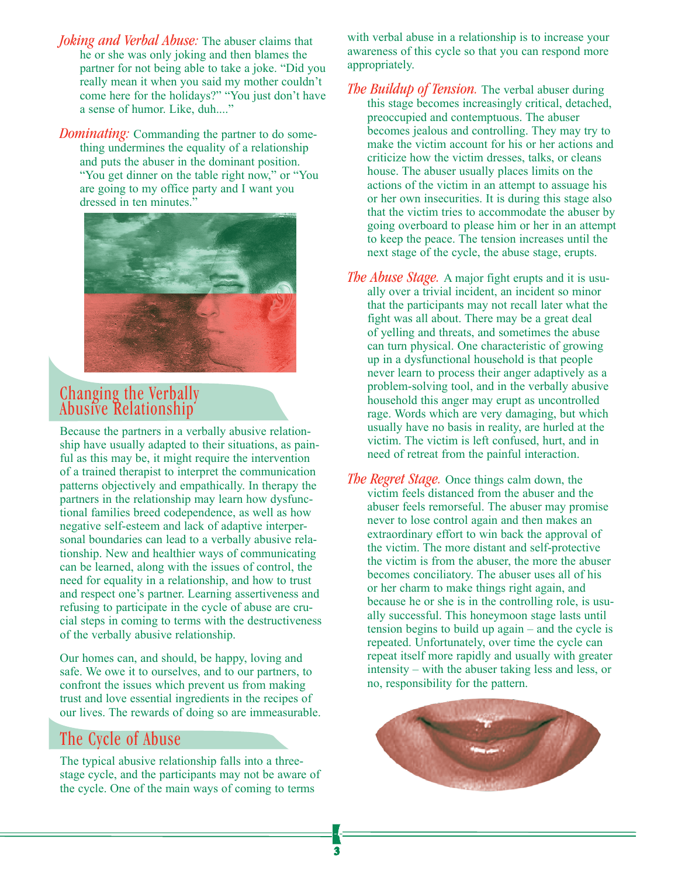- *Joking and Verbal Abuse:* The abuser claims that he or she was only joking and then blames the partner for not being able to take a joke. "Did you really mean it when you said my mother couldn't come here for the holidays?" "You just don't have a sense of humor. Like, duh...."
- *Dominating:* Commanding the partner to do something undermines the equality of a relationship and puts the abuser in the dominant position. "You get dinner on the table right now," or "You are going to my office party and I want you dressed in ten minutes."



## Changing the Verbally Abusive Relationship

Because the partners in a verbally abusive relationship have usually adapted to their situations, as painful as this may be, it might require the intervention of a trained therapist to interpret the communication patterns objectively and empathically. In therapy the partners in the relationship may learn how dysfunctional families breed codependence, as well as how negative self-esteem and lack of adaptive interpersonal boundaries can lead to a verbally abusive relationship. New and healthier ways of communicating can be learned, along with the issues of control, the need for equality in a relationship, and how to trust and respect one's partner. Learning assertiveness and refusing to participate in the cycle of abuse are crucial steps in coming to terms with the destructiveness of the verbally abusive relationship.

Our homes can, and should, be happy, loving and safe. We owe it to ourselves, and to our partners, to confront the issues which prevent us from making trust and love essential ingredients in the recipes of our lives. The rewards of doing so are immeasurable.

# The Cycle of Abuse

The typical abusive relationship falls into a threestage cycle, and the participants may not be aware of the cycle. One of the main ways of coming to terms

with verbal abuse in a relationship is to increase your awareness of this cycle so that you can respond more appropriately.

- *The Buildup of Tension.* The verbal abuser during this stage becomes increasingly critical, detached, preoccupied and contemptuous. The abuser becomes jealous and controlling. They may try to make the victim account for his or her actions and criticize how the victim dresses, talks, or cleans house. The abuser usually places limits on the actions of the victim in an attempt to assuage his or her own insecurities. It is during this stage also that the victim tries to accommodate the abuser by going overboard to please him or her in an attempt to keep the peace. The tension increases until the next stage of the cycle, the abuse stage, erupts.
- *The Abuse Stage.* A major fight erupts and it is usually over a trivial incident, an incident so minor that the participants may not recall later what the fight was all about. There may be a great deal of yelling and threats, and sometimes the abuse can turn physical. One characteristic of growing up in a dysfunctional household is that people never learn to process their anger adaptively as a problem-solving tool, and in the verbally abusive household this anger may erupt as uncontrolled rage. Words which are very damaging, but which usually have no basis in reality, are hurled at the victim. The victim is left confused, hurt, and in need of retreat from the painful interaction.
- *The Regret Stage.* Once things calm down, the victim feels distanced from the abuser and the abuser feels remorseful. The abuser may promise never to lose control again and then makes an extraordinary effort to win back the approval of the victim. The more distant and self-protective the victim is from the abuser, the more the abuser becomes conciliatory. The abuser uses all of his or her charm to make things right again, and because he or she is in the controlling role, is usually successful. This honeymoon stage lasts until tension begins to build up again – and the cycle is repeated. Unfortunately, over time the cycle can repeat itself more rapidly and usually with greater intensity – with the abuser taking less and less, or no, responsibility for the pattern.